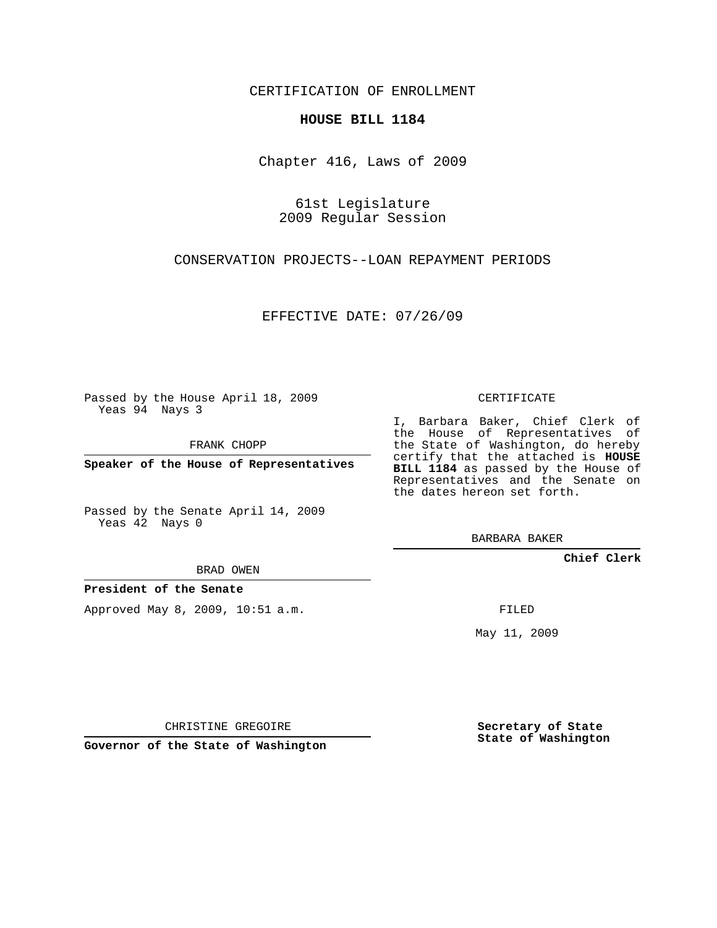CERTIFICATION OF ENROLLMENT

#### **HOUSE BILL 1184**

Chapter 416, Laws of 2009

61st Legislature 2009 Regular Session

CONSERVATION PROJECTS--LOAN REPAYMENT PERIODS

EFFECTIVE DATE: 07/26/09

Passed by the House April 18, 2009 Yeas 94 Nays 3

FRANK CHOPP

**Speaker of the House of Representatives**

Passed by the Senate April 14, 2009 Yeas 42 Nays 0

BRAD OWEN

CHRISTINE GREGOIRE

**President of the Senate**

Approved May 8, 2009, 10:51 a.m.

CERTIFICATE

I, Barbara Baker, Chief Clerk of the House of Representatives of the State of Washington, do hereby certify that the attached is **HOUSE BILL 1184** as passed by the House of Representatives and the Senate on the dates hereon set forth.

BARBARA BAKER

**Chief Clerk**

FILED

May 11, 2009

**Governor of the State of Washington**

**Secretary of State State of Washington**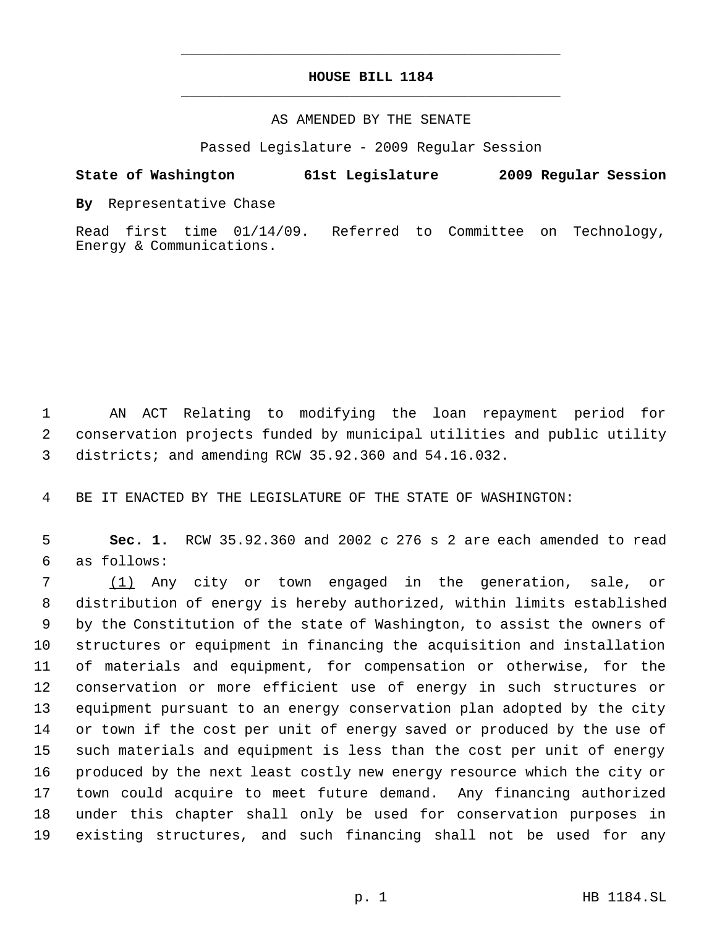## **HOUSE BILL 1184** \_\_\_\_\_\_\_\_\_\_\_\_\_\_\_\_\_\_\_\_\_\_\_\_\_\_\_\_\_\_\_\_\_\_\_\_\_\_\_\_\_\_\_\_\_

\_\_\_\_\_\_\_\_\_\_\_\_\_\_\_\_\_\_\_\_\_\_\_\_\_\_\_\_\_\_\_\_\_\_\_\_\_\_\_\_\_\_\_\_\_

#### AS AMENDED BY THE SENATE

Passed Legislature - 2009 Regular Session

### **State of Washington 61st Legislature 2009 Regular Session**

**By** Representative Chase

Read first time 01/14/09. Referred to Committee on Technology, Energy & Communications.

 AN ACT Relating to modifying the loan repayment period for conservation projects funded by municipal utilities and public utility districts; and amending RCW 35.92.360 and 54.16.032.

BE IT ENACTED BY THE LEGISLATURE OF THE STATE OF WASHINGTON:

 **Sec. 1.** RCW 35.92.360 and 2002 c 276 s 2 are each amended to read as follows:

 (1) Any city or town engaged in the generation, sale, or distribution of energy is hereby authorized, within limits established by the Constitution of the state of Washington, to assist the owners of structures or equipment in financing the acquisition and installation of materials and equipment, for compensation or otherwise, for the conservation or more efficient use of energy in such structures or equipment pursuant to an energy conservation plan adopted by the city or town if the cost per unit of energy saved or produced by the use of such materials and equipment is less than the cost per unit of energy produced by the next least costly new energy resource which the city or town could acquire to meet future demand. Any financing authorized under this chapter shall only be used for conservation purposes in existing structures, and such financing shall not be used for any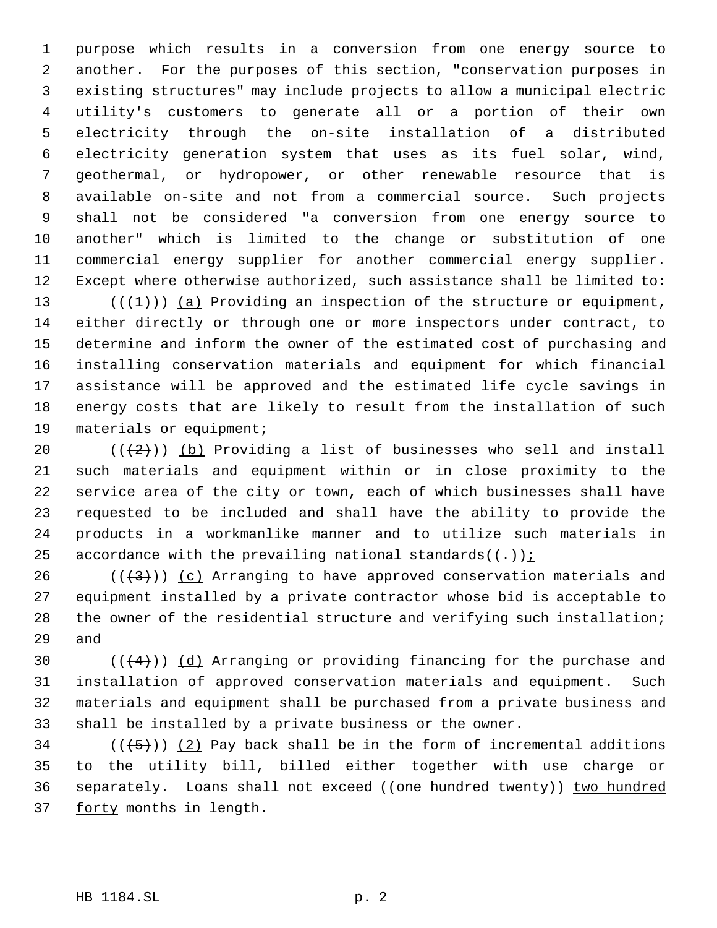purpose which results in a conversion from one energy source to another. For the purposes of this section, "conservation purposes in existing structures" may include projects to allow a municipal electric utility's customers to generate all or a portion of their own electricity through the on-site installation of a distributed electricity generation system that uses as its fuel solar, wind, geothermal, or hydropower, or other renewable resource that is available on-site and not from a commercial source. Such projects shall not be considered "a conversion from one energy source to another" which is limited to the change or substitution of one commercial energy supplier for another commercial energy supplier. Except where otherwise authorized, such assistance shall be limited to:

13 ( $(\overline{+1})$ ) (a) Providing an inspection of the structure or equipment, either directly or through one or more inspectors under contract, to determine and inform the owner of the estimated cost of purchasing and installing conservation materials and equipment for which financial assistance will be approved and the estimated life cycle savings in energy costs that are likely to result from the installation of such 19 materials or equipment;

 $((+2))$  (b) Providing a list of businesses who sell and install such materials and equipment within or in close proximity to the service area of the city or town, each of which businesses shall have requested to be included and shall have the ability to provide the products in a workmanlike manner and to utilize such materials in 25 accordance with the prevailing national standards( $(-)$ );

26 ( $(\frac{43}{})$ ) (c) Arranging to have approved conservation materials and equipment installed by a private contractor whose bid is acceptable to 28 the owner of the residential structure and verifying such installation; and

 $((+4))$   $(d)$  Arranging or providing financing for the purchase and installation of approved conservation materials and equipment. Such materials and equipment shall be purchased from a private business and shall be installed by a private business or the owner.

34  $((+5))$   $(2)$  Pay back shall be in the form of incremental additions to the utility bill, billed either together with use charge or 36 separately. Loans shall not exceed ((one hundred twenty)) two hundred 37 forty months in length.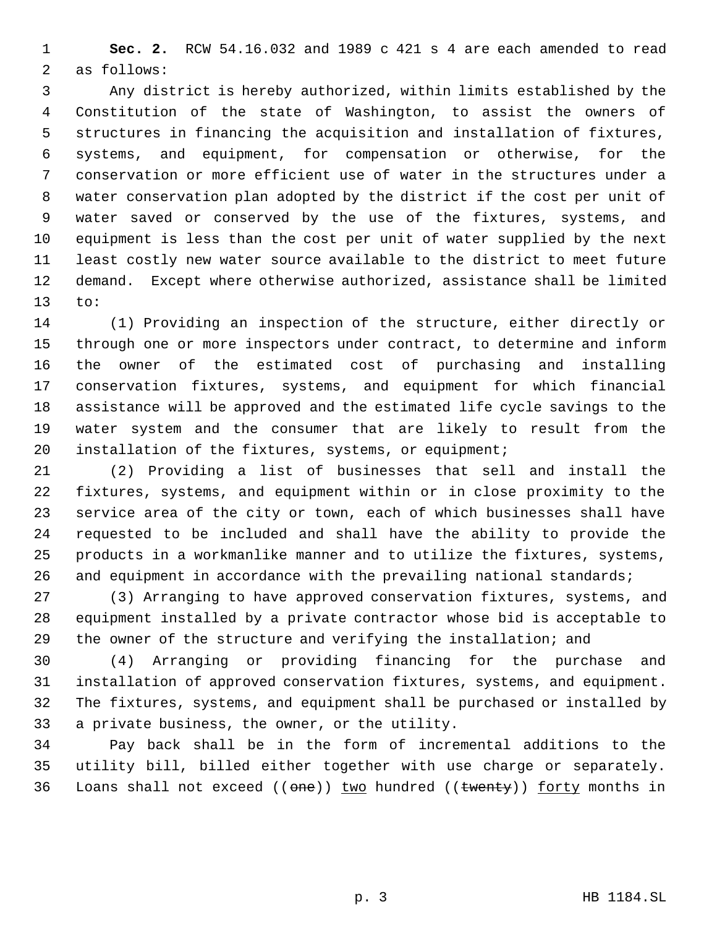**Sec. 2.** RCW 54.16.032 and 1989 c 421 s 4 are each amended to read as follows:

 Any district is hereby authorized, within limits established by the Constitution of the state of Washington, to assist the owners of structures in financing the acquisition and installation of fixtures, systems, and equipment, for compensation or otherwise, for the conservation or more efficient use of water in the structures under a water conservation plan adopted by the district if the cost per unit of water saved or conserved by the use of the fixtures, systems, and equipment is less than the cost per unit of water supplied by the next least costly new water source available to the district to meet future demand. Except where otherwise authorized, assistance shall be limited to:

 (1) Providing an inspection of the structure, either directly or through one or more inspectors under contract, to determine and inform the owner of the estimated cost of purchasing and installing conservation fixtures, systems, and equipment for which financial assistance will be approved and the estimated life cycle savings to the water system and the consumer that are likely to result from the 20 installation of the fixtures, systems, or equipment;

 (2) Providing a list of businesses that sell and install the fixtures, systems, and equipment within or in close proximity to the service area of the city or town, each of which businesses shall have requested to be included and shall have the ability to provide the products in a workmanlike manner and to utilize the fixtures, systems, 26 and equipment in accordance with the prevailing national standards;

 (3) Arranging to have approved conservation fixtures, systems, and equipment installed by a private contractor whose bid is acceptable to the owner of the structure and verifying the installation; and

 (4) Arranging or providing financing for the purchase and installation of approved conservation fixtures, systems, and equipment. The fixtures, systems, and equipment shall be purchased or installed by a private business, the owner, or the utility.

 Pay back shall be in the form of incremental additions to the utility bill, billed either together with use charge or separately. 36 Loans shall not exceed  $((one))$  two hundred  $((\text{twenty}))$  forty months in